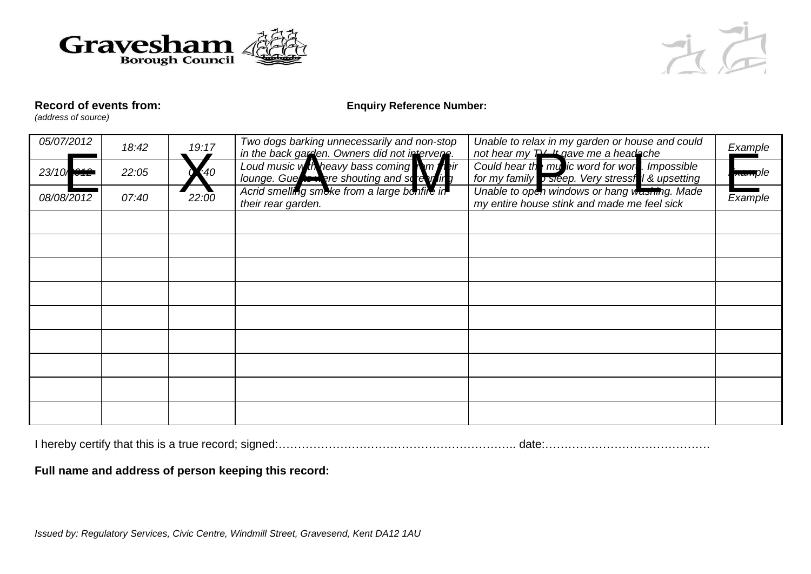



## **Record of events from: Enquiry Reference Number:**

*(address of source)*

| 05/07/2012 | 18:42 | 19:17 | Two dogs barking unnecessarily and non-stop                                                                                                                                        | Unable to relax in my garden or house and could<br>not hear my TV 4 gave me a headache                      | <u>Exam</u> ple    |
|------------|-------|-------|------------------------------------------------------------------------------------------------------------------------------------------------------------------------------------|-------------------------------------------------------------------------------------------------------------|--------------------|
| 23/10      | 22:05 | 40    | in the back gamen. Owners did not intervers.<br>Loud music with heavy bass coming<br>lounge. Gue to here shouting and so rear in y<br>Acrid smelling smoke from a large bonfile in | Could hear the my ic word for wor !. Impossible<br>for my family <b>b</b> sleep. Very stressful & upsetting | <del>xam</del> ple |
| 08/08/2012 | 07:40 | 22:00 | their rear garden.                                                                                                                                                                 | Unable to open windows or hang washing. Made<br>my entire house stink and made me feel sick                 | Example            |
|            |       |       |                                                                                                                                                                                    |                                                                                                             |                    |
|            |       |       |                                                                                                                                                                                    |                                                                                                             |                    |
|            |       |       |                                                                                                                                                                                    |                                                                                                             |                    |
|            |       |       |                                                                                                                                                                                    |                                                                                                             |                    |
|            |       |       |                                                                                                                                                                                    |                                                                                                             |                    |
|            |       |       |                                                                                                                                                                                    |                                                                                                             |                    |
|            |       |       |                                                                                                                                                                                    |                                                                                                             |                    |
|            |       |       |                                                                                                                                                                                    |                                                                                                             |                    |
|            |       |       |                                                                                                                                                                                    |                                                                                                             |                    |

I hereby certify that this is a true record; signed:…………………………………………………….. date:…………………………………….

**Full name and address of person keeping this record:**

*Issued by: Regulatory Services, Civic Centre, Windmill Street, Gravesend, Kent DA12 1AU*